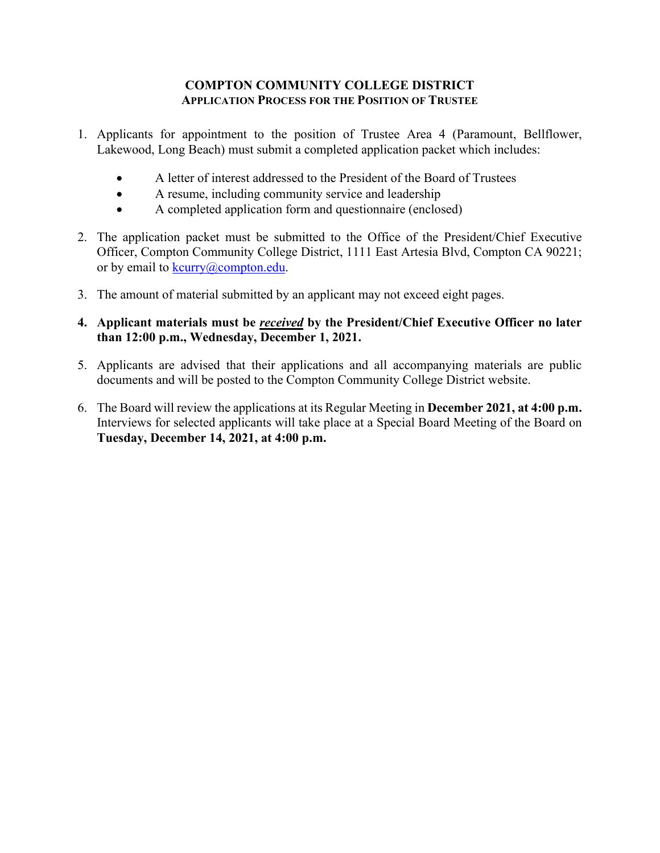### **COMPTON COMMUNITY COLLEGE DISTRICT APPLICATION PROCESS FOR THE POSITION OF TRUSTEE**

- 1. Applicants for appointment to the position of Trustee Area 4 (Paramount, Bellflower, Lakewood, Long Beach) must submit a completed application packet which includes:
	- A letter of interest addressed to the President of the Board of Trustees
	- A resume, including community service and leadership
	- A completed application form and questionnaire (enclosed)
- 2. The application packet must be submitted to the Office of the President/Chief Executive Officer, Compton Community College District, 1111 East Artesia Blvd, Compton CA 90221; or by email to [kcurry@compton.edu.](mailto:kcurry@compton.edu)
- 3. The amount of material submitted by an applicant may not exceed eight pages.
- **4. Applicant materials must be** *received* **by the President/Chief Executive Officer no later than 12:00 p.m., Wednesday, December 1, 2021.**
- 5. Applicants are advised that their applications and all accompanying materials are public documents and will be posted to the Compton Community College District website.
- 6. The Board will review the applications at its Regular Meeting in **December 2021, at 4:00 p.m.** Interviews for selected applicants will take place at a Special Board Meeting of the Board on **Tuesday, December 14, 2021, at 4:00 p.m.**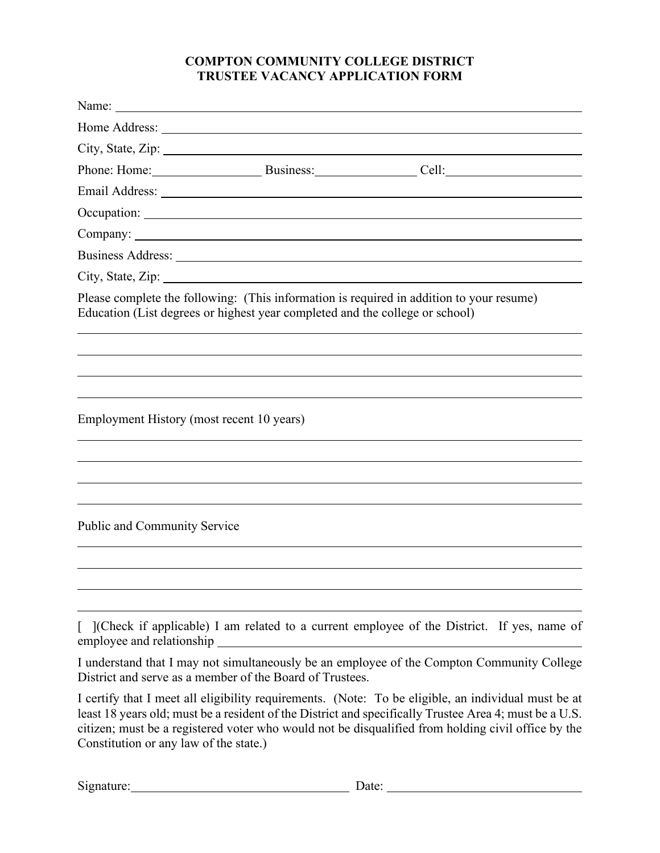## **COMPTON COMMUNITY COLLEGE DISTRICT TRUSTEE VACANCY APPLICATION FORM**

|                                           | City, State, Zip: $\frac{1}{2}$ and $\frac{1}{2}$ and $\frac{1}{2}$ and $\frac{1}{2}$ and $\frac{1}{2}$ and $\frac{1}{2}$ and $\frac{1}{2}$ and $\frac{1}{2}$ and $\frac{1}{2}$ and $\frac{1}{2}$ and $\frac{1}{2}$ and $\frac{1}{2}$ and $\frac{1}{2}$ and $\frac{1}{2}$ and $\frac{1}{2$ |                                                                                                     |  |
|-------------------------------------------|--------------------------------------------------------------------------------------------------------------------------------------------------------------------------------------------------------------------------------------------------------------------------------------------|-----------------------------------------------------------------------------------------------------|--|
|                                           | Education (List degrees or highest year completed and the college or school)                                                                                                                                                                                                               | Please complete the following: (This information is required in addition to your resume)            |  |
| Employment History (most recent 10 years) |                                                                                                                                                                                                                                                                                            |                                                                                                     |  |
| <b>Public and Community Service</b>       |                                                                                                                                                                                                                                                                                            |                                                                                                     |  |
| employee and relationship                 | <u> 1989 - Johann Stoff, deutscher Stoffen und der Stoffen und der Stoffen und der Stoffen und der Stoffen und der</u>                                                                                                                                                                     | [ ](Check if applicable) I am related to a current employee of the District. If yes, name of        |  |
|                                           | District and serve as a member of the Board of Trustees.                                                                                                                                                                                                                                   | I understand that I may not simultaneously be an employee of the Compton Community College          |  |
|                                           |                                                                                                                                                                                                                                                                                            | I certify that I meet all eligibility requirements. (Note: To be eligible, an individual must be at |  |

least 18 years old; must be a resident of the District and specifically Trustee Area 4; must be a U.S. citizen; must be a registered voter who would not be disqualified from holding civil office by the Constitution or any law of the state.)

| Signature: |  |
|------------|--|
|            |  |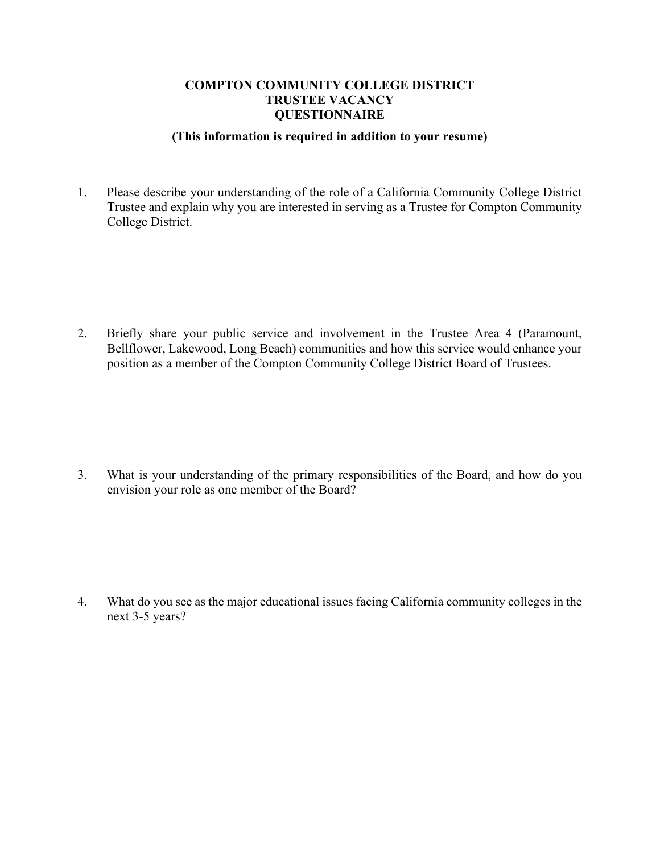### **COMPTON COMMUNITY COLLEGE DISTRICT TRUSTEE VACANCY QUESTIONNAIRE**

#### **(This information is required in addition to your resume)**

1. Please describe your understanding of the role of a California Community College District Trustee and explain why you are interested in serving as a Trustee for Compton Community College District.

2. Briefly share your public service and involvement in the Trustee Area 4 (Paramount, Bellflower, Lakewood, Long Beach) communities and how this service would enhance your position as a member of the Compton Community College District Board of Trustees.

3. What is your understanding of the primary responsibilities of the Board, and how do you envision your role as one member of the Board?

4. What do you see as the major educational issues facing California community colleges in the next 3-5 years?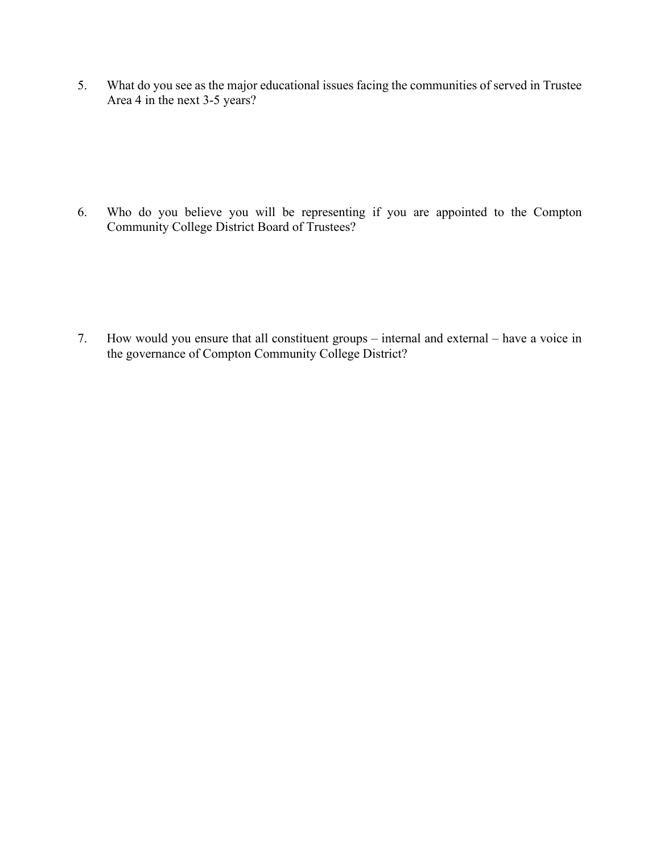5. What do you see as the major educational issues facing the communities of served in Trustee Area 4 in the next 3-5 years?

6. Who do you believe you will be representing if you are appointed to the Compton Community College District Board of Trustees?

7. How would you ensure that all constituent groups – internal and external – have a voice in the governance of Compton Community College District?